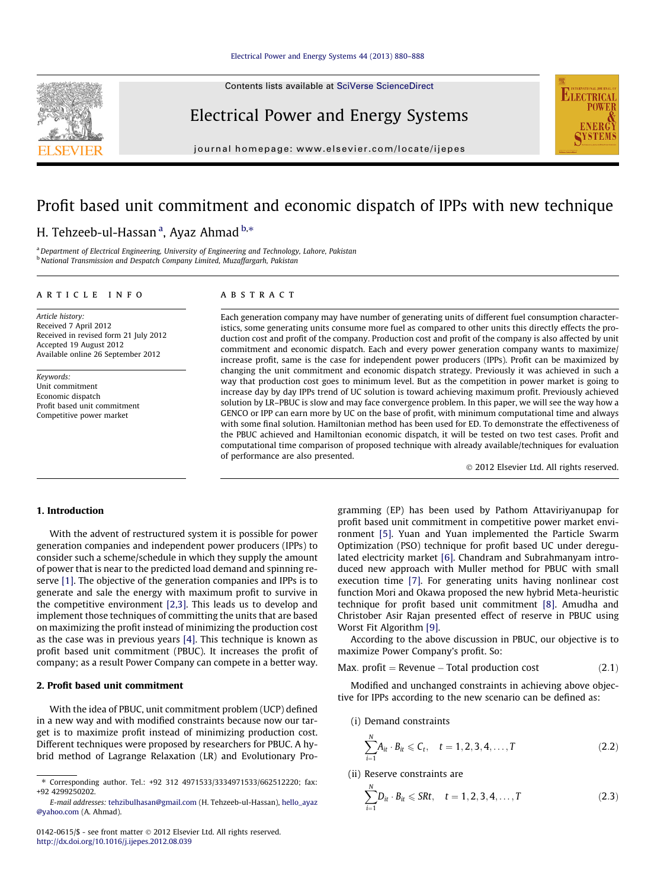Contents lists available at [SciVerse ScienceDirect](http://www.sciencedirect.com/science/journal/01420615)

## Electrical Power and Energy Systems

journal homepage: [www.elsevier.com/locate/ijepes](http://www.elsevier.com/locate/ijepes)

## Profit based unit commitment and economic dispatch of IPPs with new technique

### H. Tehzeeb-ul-Hassan <sup>a</sup>, Ayaz Ahmad <sup>b,</sup>\*

<sup>a</sup> Department of Electrical Engineering, University of Engineering and Technology, Lahore, Pakistan **b National Transmission and Despatch Company Limited, Muzaffargarh, Pakistan** 

#### article info

**ABSTRACT** 

Article history: Received 7 April 2012 Received in revised form 21 July 2012 Accepted 19 August 2012 Available online 26 September 2012

Keywords: Unit commitment Economic dispatch Profit based unit commitment Competitive power market

Each generation company may have number of generating units of different fuel consumption characteristics, some generating units consume more fuel as compared to other units this directly effects the production cost and profit of the company. Production cost and profit of the company is also affected by unit commitment and economic dispatch. Each and every power generation company wants to maximize/ increase profit, same is the case for independent power producers (IPPs). Profit can be maximized by changing the unit commitment and economic dispatch strategy. Previously it was achieved in such a way that production cost goes to minimum level. But as the competition in power market is going to increase day by day IPPs trend of UC solution is toward achieving maximum profit. Previously achieved solution by LR–PBUC is slow and may face convergence problem. In this paper, we will see the way how a GENCO or IPP can earn more by UC on the base of profit, with minimum computational time and always with some final solution. Hamiltonian method has been used for ED. To demonstrate the effectiveness of the PBUC achieved and Hamiltonian economic dispatch, it will be tested on two test cases. Profit and computational time comparison of proposed technique with already available/techniques for evaluation of performance are also presented.

- 2012 Elsevier Ltd. All rights reserved.

**ELECTRICAL** 

#### 1. Introduction

With the advent of restructured system it is possible for power generation companies and independent power producers (IPPs) to consider such a scheme/schedule in which they supply the amount of power that is near to the predicted load demand and spinning reserve [\[1\].](#page--1-0) The objective of the generation companies and IPPs is to generate and sale the energy with maximum profit to survive in the competitive environment [\[2,3\]](#page--1-0). This leads us to develop and implement those techniques of committing the units that are based on maximizing the profit instead of minimizing the production cost as the case was in previous years [\[4\]](#page--1-0). This technique is known as profit based unit commitment (PBUC). It increases the profit of company; as a result Power Company can compete in a better way.

#### 2. Profit based unit commitment

With the idea of PBUC, unit commitment problem (UCP) defined in a new way and with modified constraints because now our target is to maximize profit instead of minimizing production cost. Different techniques were proposed by researchers for PBUC. A hybrid method of Lagrange Relaxation (LR) and Evolutionary Programming (EP) has been used by Pathom Attaviriyanupap for profit based unit commitment in competitive power market environment [\[5\].](#page--1-0) Yuan and Yuan implemented the Particle Swarm Optimization (PSO) technique for profit based UC under deregulated electricity market [\[6\].](#page--1-0) Chandram and Subrahmanyam introduced new approach with Muller method for PBUC with small execution time [\[7\].](#page--1-0) For generating units having nonlinear cost function Mori and Okawa proposed the new hybrid Meta-heuristic technique for profit based unit commitment [\[8\].](#page--1-0) Amudha and Christober Asir Rajan presented effect of reserve in PBUC using Worst Fit Algorithm [\[9\]](#page--1-0).

According to the above discussion in PBUC, our objective is to maximize Power Company's profit. So:

$$
Max. profit = Revenue - Total production cost \tag{2.1}
$$

Modified and unchanged constraints in achieving above objective for IPPs according to the new scenario can be defined as:

#### (i) Demand constraints

 $\overline{M}$ 

$$
\sum_{i=1}^{N} A_{it} \cdot B_{it} \leq C_t, \quad t = 1, 2, 3, 4, \dots, T
$$
 (2.2)

(ii) Reserve constraints are

$$
\sum_{i=1}^{N} D_{it} \cdot B_{it} \leq S R t, \quad t = 1, 2, 3, 4, ..., T
$$
 (2.3)



<sup>⇑</sup> Corresponding author. Tel.: +92 312 4971533/3334971533/662512220; fax: +92 4299250202.

E-mail addresses: [tehzibulhasan@gmail.com](mailto:tehzibulhasan@gmail.com) (H. Tehzeeb-ul-Hassan), [hello\\_ayaz](mailto:hello_ayaz@yahoo.com) [@yahoo.com](mailto:hello_ayaz@yahoo.com) (A. Ahmad).

<sup>0142-0615/\$ -</sup> see front matter © 2012 Elsevier Ltd. All rights reserved. <http://dx.doi.org/10.1016/j.ijepes.2012.08.039>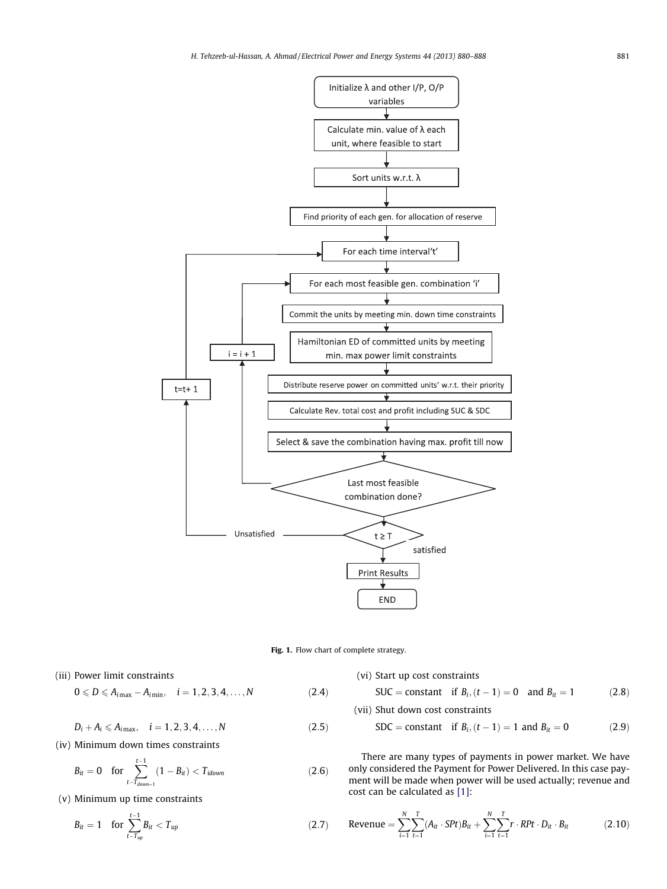



(iii) Power limit constraints

$$
0 \leqslant D \leqslant A_{i\max} - A_{i\min}, \quad i = 1, 2, 3, 4, \dots, N
$$
 (2.4)

 $D_i + A_i \leq A_{i\max}, \quad i = 1, 2, 3, 4, \ldots, N$  (2.5)

(iv) Minimum down times constraints

$$
B_{it} = 0 \quad \text{for} \sum_{t-T_{down}=1}^{t-1} (1 - B_{it}) < T_{idown} \tag{2.6}
$$

(v) Minimum up time constraints

$$
B_{it} = 1 \quad \text{for } \sum_{t-T_{up}}^{-1} B_{it} < T_{up} \tag{2.7}
$$

(vi) Start up cost constraints

SUC = constant if 
$$
B_i
$$
,  $(t - 1) = 0$  and  $B_{it} = 1$  (2.8)

(vii) Shut down cost constraints

$$
SDC = constant \text{ if } B_{i}, (t - 1) = 1 \text{ and } B_{it} = 0 \tag{2.9}
$$

There are many types of payments in power market. We have only considered the Payment for Power Delivered. In this case payment will be made when power will be used actually; revenue and cost can be calculated as [\[1\]](#page--1-0):

$$
\text{Revenue} = \sum_{i=1}^{N} \sum_{t=1}^{T} (A_{it} \cdot S P t) B_{it} + \sum_{i=1}^{N} \sum_{t=1}^{T} r \cdot R P t \cdot D_{it} \cdot B_{it} \tag{2.10}
$$